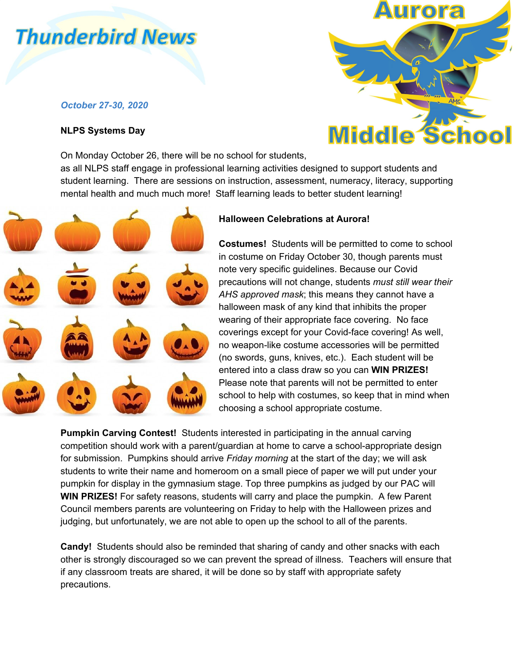# **Thunderbird News**

## *October 27-30, 2020*

### **NLPS Systems Day**

**Middle** 

On Monday October 26, there will be no school for students, as all NLPS staff engage in professional learning activities designed to support students and student learning. There are sessions on instruction, assessment, numeracy, literacy, supporting mental health and much much more! Staff learning leads to better student learning!



## **Halloween Celebrations at Aurora!**

**Costumes!** Students will be permitted to come to school in costume on Friday October 30, though parents must note very specific guidelines. Because our Covid precautions will not change, students *must still wear their AHS approved mask*; this means they cannot have a halloween mask of any kind that inhibits the proper wearing of their appropriate face covering. No face coverings except for your Covid-face covering! As well, no weapon-like costume accessories will be permitted (no swords, guns, knives, etc.). Each student will be entered into a class draw so you can **WIN PRIZES!** Please note that parents will not be permitted to enter school to help with costumes, so keep that in mind when choosing a school appropriate costume.

**Pumpkin Carving Contest!** Students interested in participating in the annual carving competition should work with a parent/guardian at home to carve a school-appropriate design for submission. Pumpkins should arrive *Friday morning* at the start of the day; we will ask students to write their name and homeroom on a small piece of paper we will put under your pumpkin for display in the gymnasium stage. Top three pumpkins as judged by our PAC will **WIN PRIZES!** For safety reasons, students will carry and place the pumpkin. A few Parent Council members parents are volunteering on Friday to help with the Halloween prizes and judging, but unfortunately, we are not able to open up the school to all of the parents.

**Candy!** Students should also be reminded that sharing of candy and other snacks with each other is strongly discouraged so we can prevent the spread of illness. Teachers will ensure that if any classroom treats are shared, it will be done so by staff with appropriate safety precautions.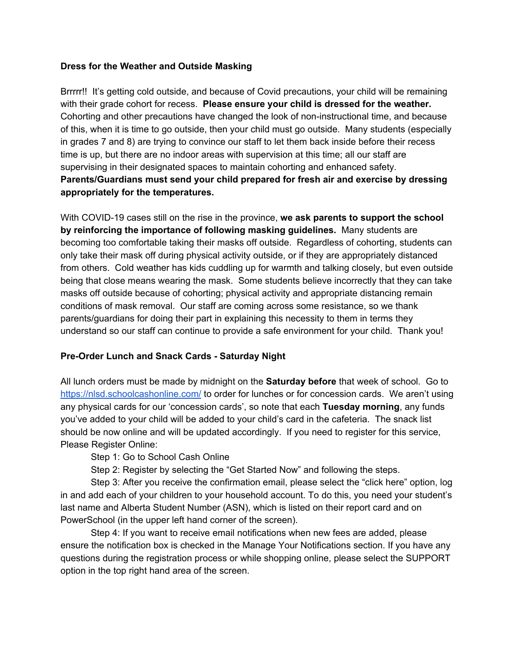### **Dress for the Weather and Outside Masking**

Brrrrr!! It's getting cold outside, and because of Covid precautions, your child will be remaining with their grade cohort for recess. **Please ensure your child is dressed for the weather.** Cohorting and other precautions have changed the look of non-instructional time, and because of this, when it is time to go outside, then your child must go outside. Many students (especially in grades 7 and 8) are trying to convince our staff to let them back inside before their recess time is up, but there are no indoor areas with supervision at this time; all our staff are supervising in their designated spaces to maintain cohorting and enhanced safety. **Parents/Guardians must send your child prepared for fresh air and exercise by dressing appropriately for the temperatures.**

With COVID-19 cases still on the rise in the province, **we ask parents to support the school by reinforcing the importance of following masking guidelines.** Many students are becoming too comfortable taking their masks off outside. Regardless of cohorting, students can only take their mask off during physical activity outside, or if they are appropriately distanced from others. Cold weather has kids cuddling up for warmth and talking closely, but even outside being that close means wearing the mask. Some students believe incorrectly that they can take masks off outside because of cohorting; physical activity and appropriate distancing remain conditions of mask removal. Our staff are coming across some resistance, so we thank parents/guardians for doing their part in explaining this necessity to them in terms they understand so our staff can continue to provide a safe environment for your child. Thank you!

### **Pre-Order Lunch and Snack Cards - Saturday Night**

All lunch orders must be made by midnight on the **Saturday before** that week of school. Go to <https://nlsd.schoolcashonline.com/> to order for lunches or for concession cards. We aren't using any physical cards for our 'concession cards', so note that each **Tuesday morning**, any funds you've added to your child will be added to your child's card in the cafeteria. The snack list should be now online and will be updated accordingly. If you need to register for this service, Please Register Online:

Step 1: Go to School Cash Online

Step 2: Register by selecting the "Get Started Now" and following the steps.

Step 3: After you receive the confirmation email, please select the "click here" option, log in and add each of your children to your household account. To do this, you need your student's last name and Alberta Student Number (ASN), which is listed on their report card and on PowerSchool (in the upper left hand corner of the screen).

Step 4: If you want to receive email notifications when new fees are added, please ensure the notification box is checked in the Manage Your Notifications section. If you have any questions during the registration process or while shopping online, please select the SUPPORT option in the top right hand area of the screen.